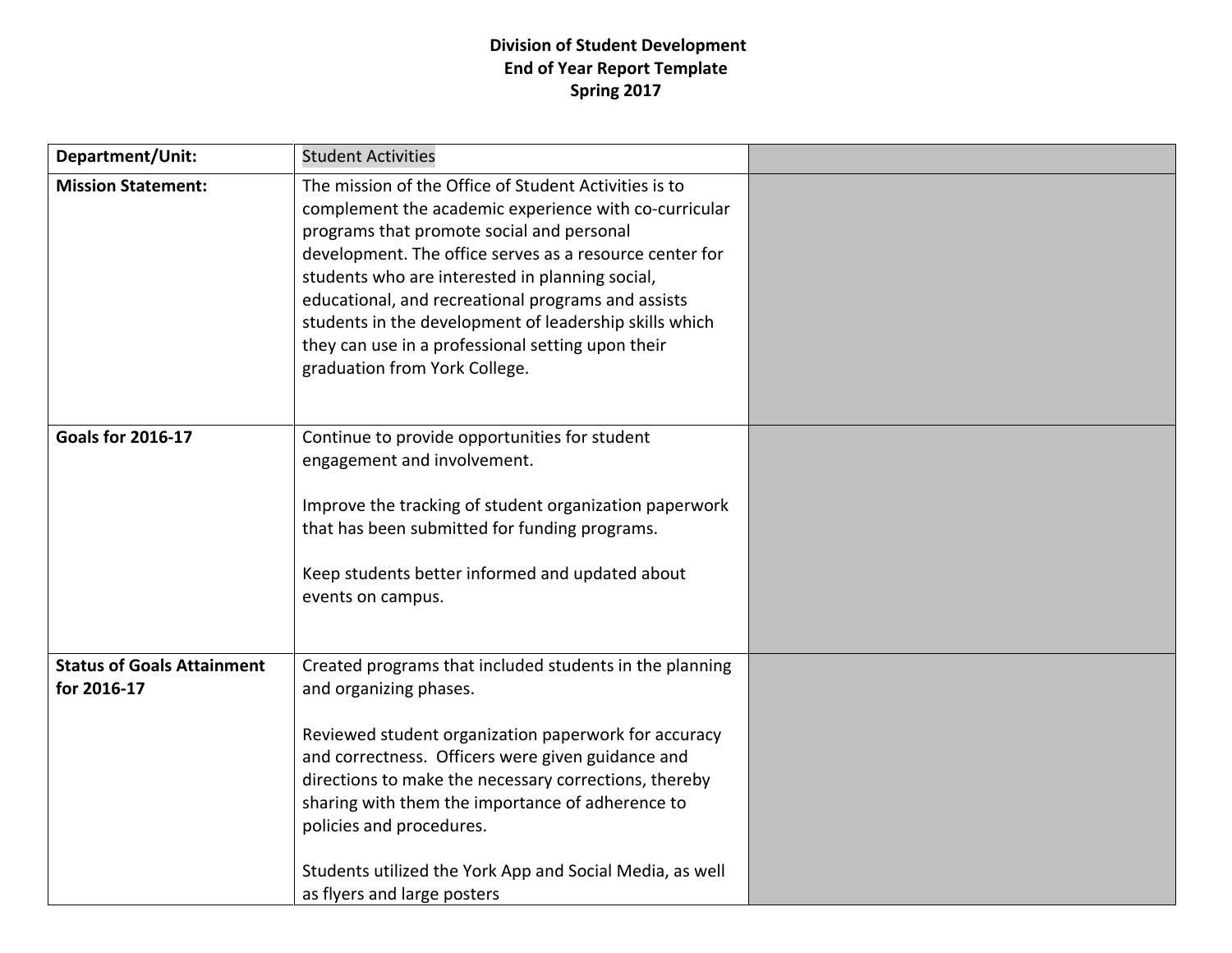## **Division of Student Development End of Year Report Template Spring 2017**

| Department/Unit:                                 | <b>Student Activities</b>                                                                                                                                                                                                                                                                                                                                                                                                                                                       |  |
|--------------------------------------------------|---------------------------------------------------------------------------------------------------------------------------------------------------------------------------------------------------------------------------------------------------------------------------------------------------------------------------------------------------------------------------------------------------------------------------------------------------------------------------------|--|
| <b>Mission Statement:</b>                        | The mission of the Office of Student Activities is to<br>complement the academic experience with co-curricular<br>programs that promote social and personal<br>development. The office serves as a resource center for<br>students who are interested in planning social,<br>educational, and recreational programs and assists<br>students in the development of leadership skills which<br>they can use in a professional setting upon their<br>graduation from York College. |  |
| <b>Goals for 2016-17</b>                         | Continue to provide opportunities for student<br>engagement and involvement.<br>Improve the tracking of student organization paperwork<br>that has been submitted for funding programs.<br>Keep students better informed and updated about<br>events on campus.                                                                                                                                                                                                                 |  |
| <b>Status of Goals Attainment</b><br>for 2016-17 | Created programs that included students in the planning<br>and organizing phases.<br>Reviewed student organization paperwork for accuracy<br>and correctness. Officers were given guidance and<br>directions to make the necessary corrections, thereby<br>sharing with them the importance of adherence to<br>policies and procedures.<br>Students utilized the York App and Social Media, as well<br>as flyers and large posters                                              |  |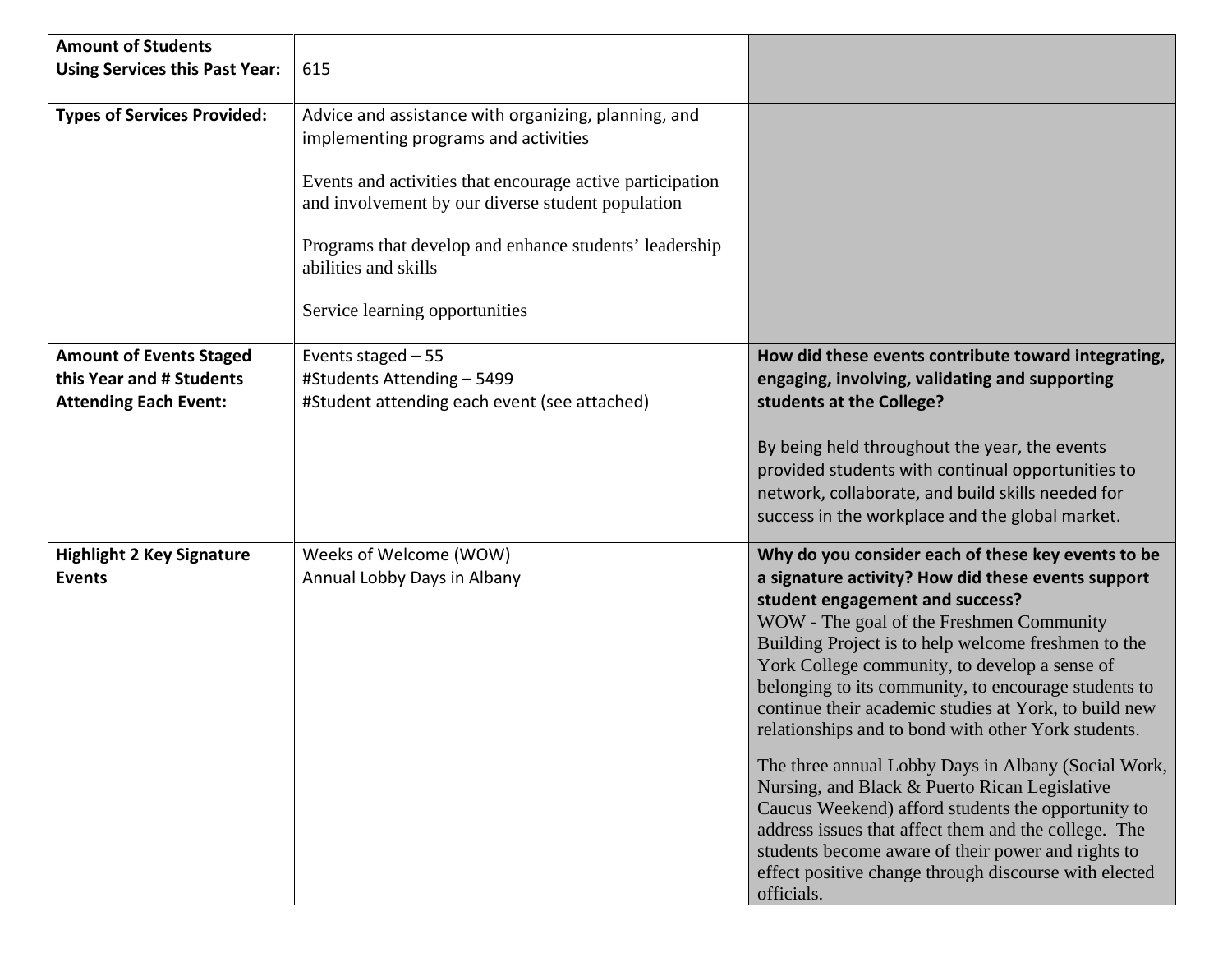| <b>Amount of Students</b><br><b>Using Services this Past Year:</b>                         | 615                                                                                                                                                                                                                                                                                                                                |                                                                                                                                                                                                                                                                                                                                                                                                                                                                                                                                                                                                                                                                                                                                                                                                                            |
|--------------------------------------------------------------------------------------------|------------------------------------------------------------------------------------------------------------------------------------------------------------------------------------------------------------------------------------------------------------------------------------------------------------------------------------|----------------------------------------------------------------------------------------------------------------------------------------------------------------------------------------------------------------------------------------------------------------------------------------------------------------------------------------------------------------------------------------------------------------------------------------------------------------------------------------------------------------------------------------------------------------------------------------------------------------------------------------------------------------------------------------------------------------------------------------------------------------------------------------------------------------------------|
| <b>Types of Services Provided:</b>                                                         | Advice and assistance with organizing, planning, and<br>implementing programs and activities<br>Events and activities that encourage active participation<br>and involvement by our diverse student population<br>Programs that develop and enhance students' leadership<br>abilities and skills<br>Service learning opportunities |                                                                                                                                                                                                                                                                                                                                                                                                                                                                                                                                                                                                                                                                                                                                                                                                                            |
| <b>Amount of Events Staged</b><br>this Year and # Students<br><b>Attending Each Event:</b> | Events staged $-55$<br>#Students Attending - 5499<br>#Student attending each event (see attached)                                                                                                                                                                                                                                  | How did these events contribute toward integrating,<br>engaging, involving, validating and supporting<br>students at the College?<br>By being held throughout the year, the events<br>provided students with continual opportunities to<br>network, collaborate, and build skills needed for<br>success in the workplace and the global market.                                                                                                                                                                                                                                                                                                                                                                                                                                                                            |
| <b>Highlight 2 Key Signature</b><br><b>Events</b>                                          | Weeks of Welcome (WOW)<br>Annual Lobby Days in Albany                                                                                                                                                                                                                                                                              | Why do you consider each of these key events to be<br>a signature activity? How did these events support<br>student engagement and success?<br>WOW - The goal of the Freshmen Community<br>Building Project is to help welcome freshmen to the<br>York College community, to develop a sense of<br>belonging to its community, to encourage students to<br>continue their academic studies at York, to build new<br>relationships and to bond with other York students.<br>The three annual Lobby Days in Albany (Social Work,<br>Nursing, and Black & Puerto Rican Legislative<br>Caucus Weekend) afford students the opportunity to<br>address issues that affect them and the college. The<br>students become aware of their power and rights to<br>effect positive change through discourse with elected<br>officials. |